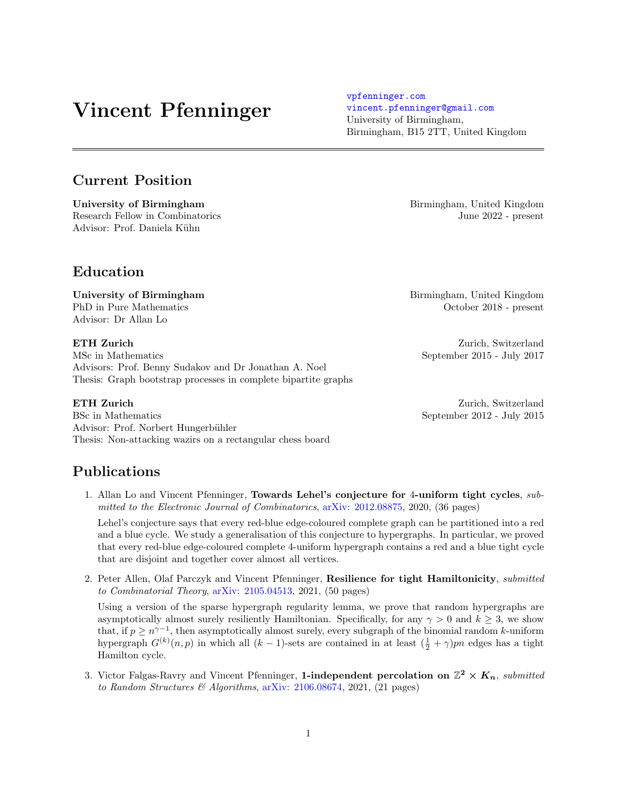# Vincent Pfenninger

# Current Position

University of Birmingham Birmingham Birmingham, United Kingdom Research Fellow in Combinatorics June 2022 - present Advisor: Prof. Daniela Kühn

# Education

University of Birmingham **Birmingham** Birmingham, United Kingdom Advisor: Dr Allan Lo

**ETH Zurich** Zurich **Zurich Zurich**, Switzerland MSc in Mathematics September 2015 - July 2017 Advisors: Prof. Benny Sudakov and Dr Jonathan A. Noel

BSc in Mathematics September 2012 - July 2015 Advisor: Prof. Norbert Hungerbühler Thesis: Non-attacking wazirs on a rectangular chess board

Thesis: Graph bootstrap processes in complete bipartite graphs

# Publications

1. Allan Lo and Vincent Pfenninger, Towards Lehel's conjecture for 4-uniform tight cycles, submitted to the Electronic Journal of Combinatorics, [arXiv: 2012.08875,](https://arxiv.org/abs/2012.08875) 2020, (36 pages)

Lehel's conjecture says that every red-blue edge-coloured complete graph can be partitioned into a red and a blue cycle. We study a generalisation of this conjecture to hypergraphs. In particular, we proved that every red-blue edge-coloured complete 4-uniform hypergraph contains a red and a blue tight cycle that are disjoint and together cover almost all vertices.

2. Peter Allen, Olaf Parczyk and Vincent Pfenninger, Resilience for tight Hamiltonicity, submitted to Combinatorial Theory, [arXiv: 2105.04513,](https://arxiv.org/abs/2105.04513) 2021, (50 pages)

Using a version of the sparse hypergraph regularity lemma, we prove that random hypergraphs are asymptotically almost surely resiliently Hamiltonian. Specifically, for any  $\gamma > 0$  and  $k \geq 3$ , we show that, if  $p \geq n^{\gamma-1}$ , then asymptotically almost surely, every subgraph of the binomial random k-uniform hypergraph  $G^{(k)}(n,p)$  in which all  $(k-1)$ -sets are contained in at least  $(\frac{1}{2} + \gamma)pn$  edges has a tight Hamilton cycle.

3. Victor Falgas-Ravry and Vincent Pfenninger, 1-independent percolation on  $\mathbb{Z}^2 \times K_n$ , submitted to Random Structures & Algorithms, [arXiv: 2106.08674,](https://arxiv.org/abs/2106.08674) 2021, (21 pages)

PhD in Pure Mathematics October 2018 - present

**ETH Zurich** Zurich **Zurich Zurich**, Switzerland

[vpfenninger.com](www.vpfenninger.com) [vincent.pfenninger@gmail.com](mailto:vincent.pfenninger@gmail.com) University of Birmingham, Birmingham, B15 2TT, United Kingdom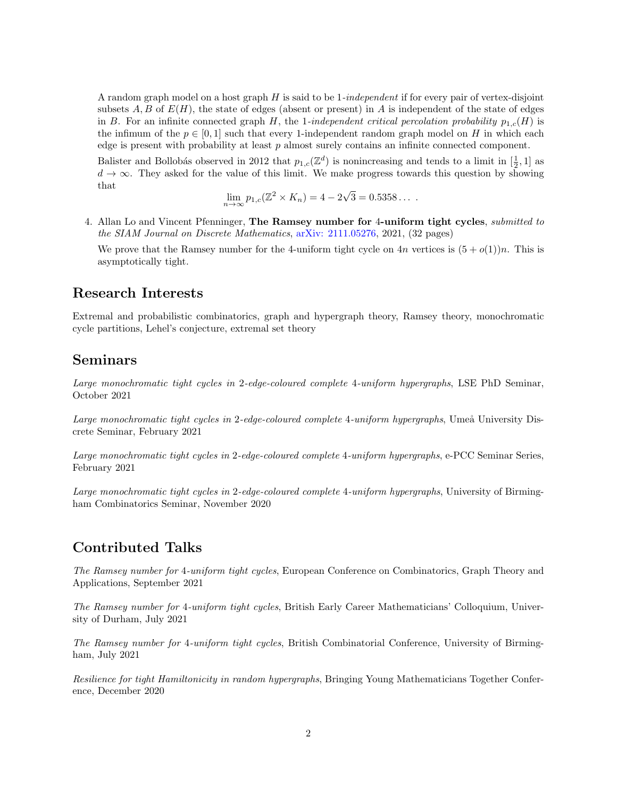A random graph model on a host graph  $H$  is said to be 1-independent if for every pair of vertex-disjoint subsets  $A, B$  of  $E(H)$ , the state of edges (absent or present) in A is independent of the state of edges in B. For an infinite connected graph H, the 1-independent critical percolation probability  $p_{1,c}(H)$  is the infimum of the  $p \in [0,1]$  such that every 1-independent random graph model on H in which each edge is present with probability at least  $p$  almost surely contains an infinite connected component.

Balister and Bollobás observed in 2012 that  $p_{1,c}(\mathbb{Z}^d)$  is nonincreasing and tends to a limit in  $[\frac{1}{2},1]$  as  $d \to \infty$ . They asked for the value of this limit. We make progress towards this question by showing that √

$$
\lim_{n \to \infty} p_{1,c}(\mathbb{Z}^2 \times K_n) = 4 - 2\sqrt{3} = 0.5358...
$$

4. Allan Lo and Vincent Pfenninger, The Ramsey number for 4-uniform tight cycles, submitted to the SIAM Journal on Discrete Mathematics, [arXiv: 2111.05276,](https://arxiv.org/abs/2111.05276) 2021, (32 pages)

We prove that the Ramsey number for the 4-uniform tight cycle on  $4n$  vertices is  $(5 + o(1))n$ . This is asymptotically tight.

#### Research Interests

Extremal and probabilistic combinatorics, graph and hypergraph theory, Ramsey theory, monochromatic cycle partitions, Lehel's conjecture, extremal set theory

#### Seminars

Large monochromatic tight cycles in 2-edge-coloured complete 4-uniform hypergraphs, LSE PhD Seminar, October 2021

Large monochromatic tight cycles in 2-edge-coloured complete 4-uniform hypergraphs, Umeå University Discrete Seminar, February 2021

Large monochromatic tight cycles in 2-edge-coloured complete 4-uniform hypergraphs, e-PCC Seminar Series, February 2021

Large monochromatic tight cycles in 2-edge-coloured complete 4-uniform hypergraphs, University of Birmingham Combinatorics Seminar, November 2020

#### Contributed Talks

The Ramsey number for 4-uniform tight cycles, European Conference on Combinatorics, Graph Theory and Applications, September 2021

The Ramsey number for 4-uniform tight cycles, British Early Career Mathematicians' Colloquium, University of Durham, July 2021

The Ramsey number for 4-uniform tight cycles, British Combinatorial Conference, University of Birmingham, July 2021

Resilience for tight Hamiltonicity in random hypergraphs, Bringing Young Mathematicians Together Conference, December 2020